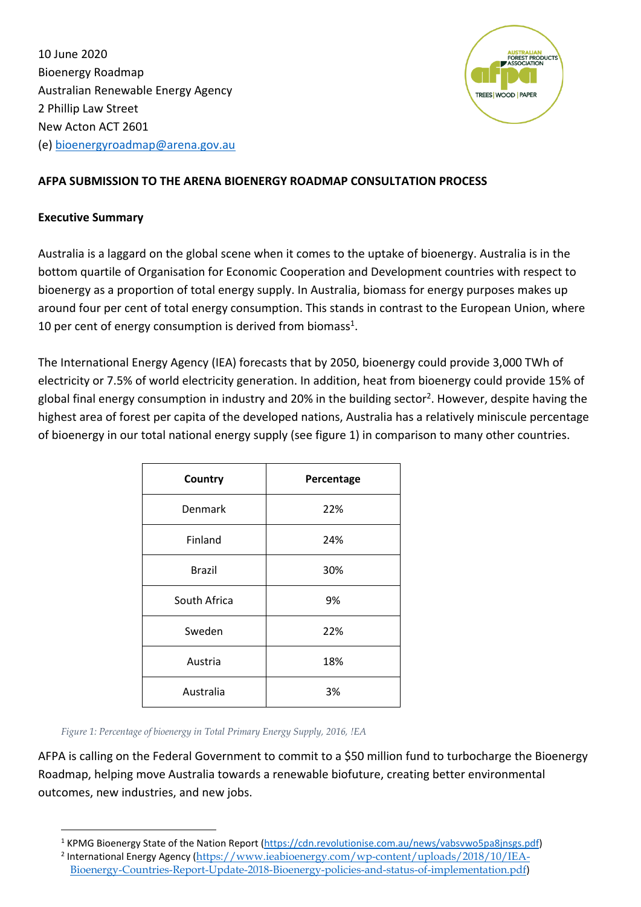10 June 2020 Bioenergy Roadmap Australian Renewable Energy Agency 2 Phillip Law Street New Acton ACT 2601 (e) [bioenergyroadmap@arena.gov.au](mailto:bioenergyroadmap@arena.gov.au)



## **AFPA SUBMISSION TO THE ARENA BIOENERGY ROADMAP CONSULTATION PROCESS**

#### **Executive Summary**

Australia is a laggard on the global scene when it comes to the uptake of bioenergy. Australia is in the bottom quartile of Organisation for Economic Cooperation and Development countries with respect to bioenergy as a proportion of total energy supply. In Australia, biomass for energy purposes makes up around four per cent of total energy consumption. This stands in contrast to the European Union, where 10 per cent of energy consumption is derived from biomass<sup>1</sup>.

The International Energy Agency (IEA) forecasts that by 2050, bioenergy could provide 3,000 TWh of electricity or 7.5% of world electricity generation. In addition, heat from bioenergy could provide 15% of global final energy consumption in industry and 20% in the building sector<sup>2</sup>. However, despite having the highest area of forest per capita of the developed nations, Australia has a relatively miniscule percentage of bioenergy in our total national energy supply (see figure 1) in comparison to many other countries.

| Country       | Percentage |
|---------------|------------|
| Denmark       | 22%        |
| Finland       | 24%        |
| <b>Brazil</b> | 30%        |
| South Africa  | 9%         |
| Sweden        | 22%        |
| Austria       | 18%        |
| Australia     | 3%         |

*Figure 1: Percentage of bioenergy in Total Primary Energy Supply, 2016, !EA*

AFPA is calling on the Federal Government to commit to a \$50 million fund to turbocharge the Bioenergy Roadmap, helping move Australia towards a renewable biofuture, creating better environmental outcomes, new industries, and new jobs.

<sup>1</sup> KPMG Bioenergy State of the Nation Report [\(https://cdn.revolutionise.com.au/news/vabsvwo5pa8jnsgs.pdf\)](https://cdn.revolutionise.com.au/news/vabsvwo5pa8jnsgs.pdf)

<sup>&</sup>lt;sup>2</sup> International Energy Agency ([https://www.ieabioenergy.com/wp-content/uploads/2018/10/IEA-](https://www.ieabioenergy.com/wp-content/uploads/2018/10/IEA-Bioenergy-Countries-Report-Update-2018-Bioenergy-policies-and-status-of-implementation.pdf)[Bioenergy-Countries-Report-Update-2018-Bioenergy-policies-and-status-of-implementation.pdf](https://www.ieabioenergy.com/wp-content/uploads/2018/10/IEA-Bioenergy-Countries-Report-Update-2018-Bioenergy-policies-and-status-of-implementation.pdf))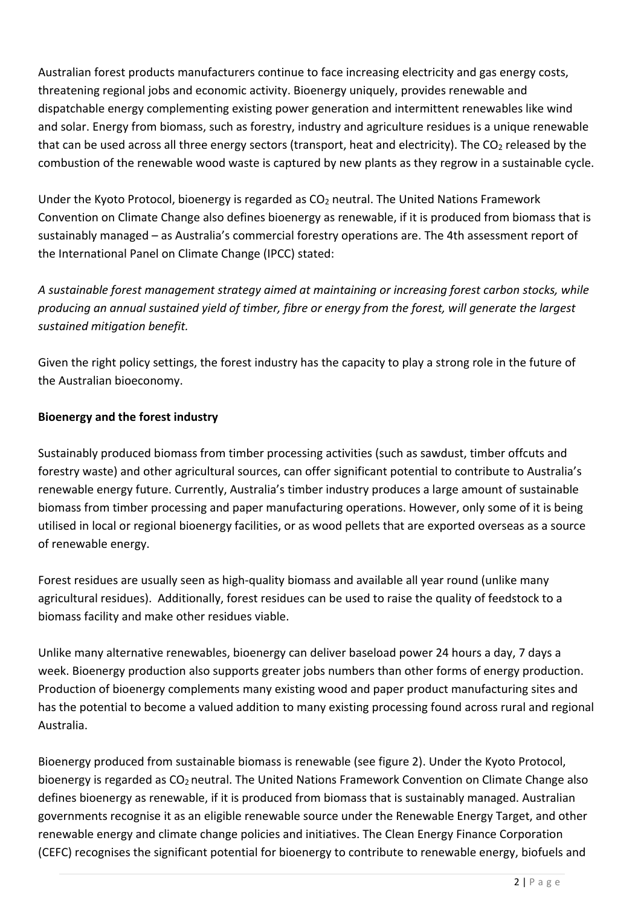Australian forest products manufacturers continue to face increasing electricity and gas energy costs, threatening regional jobs and economic activity. Bioenergy uniquely, provides renewable and dispatchable energy complementing existing power generation and intermittent renewables like wind and solar. Energy from biomass, such as forestry, industry and agriculture residues is a unique renewable that can be used across all three energy sectors (transport, heat and electricity). The  $CO<sub>2</sub>$  released by the combustion of the renewable wood waste is captured by new plants as they regrow in a sustainable cycle.

Under the Kyoto Protocol, bioenergy is regarded as  $CO<sub>2</sub>$  neutral. The United Nations Framework Convention on Climate Change also defines bioenergy as renewable, if it is produced from biomass that is sustainably managed – as Australia's commercial forestry operations are. The 4th assessment report of the International Panel on Climate Change (IPCC) stated:

*A sustainable forest management strategy aimed at maintaining or increasing forest carbon stocks, while producing an annual sustained yield of timber, fibre or energy from the forest, will generate the largest sustained mitigation benefit.*

Given the right policy settings, the forest industry has the capacity to play a strong role in the future of the Australian bioeconomy.

# **Bioenergy and the forest industry**

Sustainably produced biomass from timber processing activities (such as sawdust, timber offcuts and forestry waste) and other agricultural sources, can offer significant potential to contribute to Australia's renewable energy future. Currently, Australia's timber industry produces a large amount of sustainable biomass from timber processing and paper manufacturing operations. However, only some of it is being utilised in local or regional bioenergy facilities, or as wood pellets that are exported overseas as a source of renewable energy.

Forest residues are usually seen as high-quality biomass and available all year round (unlike many agricultural residues). Additionally, forest residues can be used to raise the quality of feedstock to a biomass facility and make other residues viable.

Unlike many alternative renewables, bioenergy can deliver baseload power 24 hours a day, 7 days a week. Bioenergy production also supports greater jobs numbers than other forms of energy production. Production of bioenergy complements many existing wood and paper product manufacturing sites and has the potential to become a valued addition to many existing processing found across rural and regional Australia.

Bioenergy produced from sustainable biomass is renewable (see figure 2). Under the Kyoto Protocol, bioenergy is regarded as CO<sub>2</sub> neutral. The United Nations Framework Convention on Climate Change also defines bioenergy as renewable, if it is produced from biomass that is sustainably managed. Australian governments recognise it as an eligible renewable source under the Renewable Energy Target, and other renewable energy and climate change policies and initiatives. The Clean Energy Finance Corporation (CEFC) recognises the significant potential for bioenergy to contribute to renewable energy, biofuels and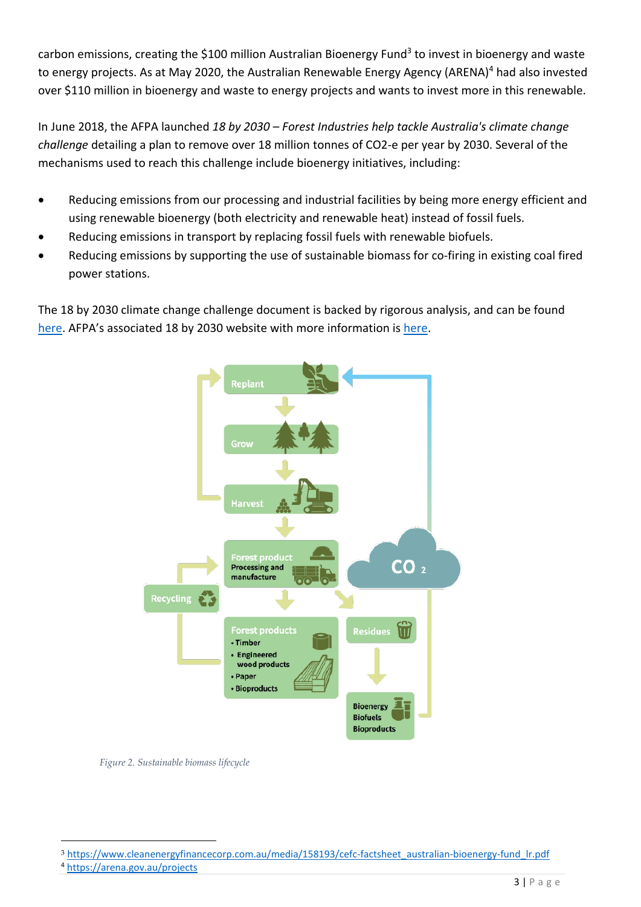carbon emissions, creating the \$100 million Australian Bioenergy Fund<sup>3</sup> to invest in bioenergy and waste to energy projects. As at May 2020, the Australian Renewable Energy Agency (ARENA)<sup>4</sup> had also invested over \$110 million in bioenergy and waste to energy projects and wants to invest more in this renewable.

In June 2018, the AFPA launched *18 by 2030 – Forest Industries help tackle Australia's climate change challenge* detailing a plan to remove over 18 million tonnes of CO2-e per year by 2030. Several of the mechanisms used to reach this challenge include bioenergy initiatives, including:

- Reducing emissions from our processing and industrial facilities by being more energy efficient and using renewable bioenergy (both electricity and renewable heat) instead of fossil fuels.
- Reducing emissions in transport by replacing fossil fuels with renewable biofuels.
- Reducing emissions by supporting the use of sustainable biomass for co-firing in existing coal fired power stations.

The 18 by 2030 climate change challenge document is backed by rigorous analysis, and can be found [here](https://d3n8a8pro7vhmx.cloudfront.net/afpa/pages/169/attachments/original/1529295400/AFPA_18_BY_2030-_test.pdf?1529295400). AFPA's associated 18 by 2030 website with more information is [here.](https://www.18by2030.com.au/)



*Figure 2. Sustainable biomass lifecycle*

<sup>&</sup>lt;sup>3</sup> [https://www.cleanenergyfinancecorp.com.au/media/158193/cefc-factsheet\\_australian-bioenergy-fund\\_lr.pdf](https://www.cleanenergyfinancecorp.com.au/media/158193/cefc-factsheet_australian-bioenergy-fund_lr.pdf)

<sup>4</sup> [https://arena.gov.au/p](https://arena.gov.au/)rojects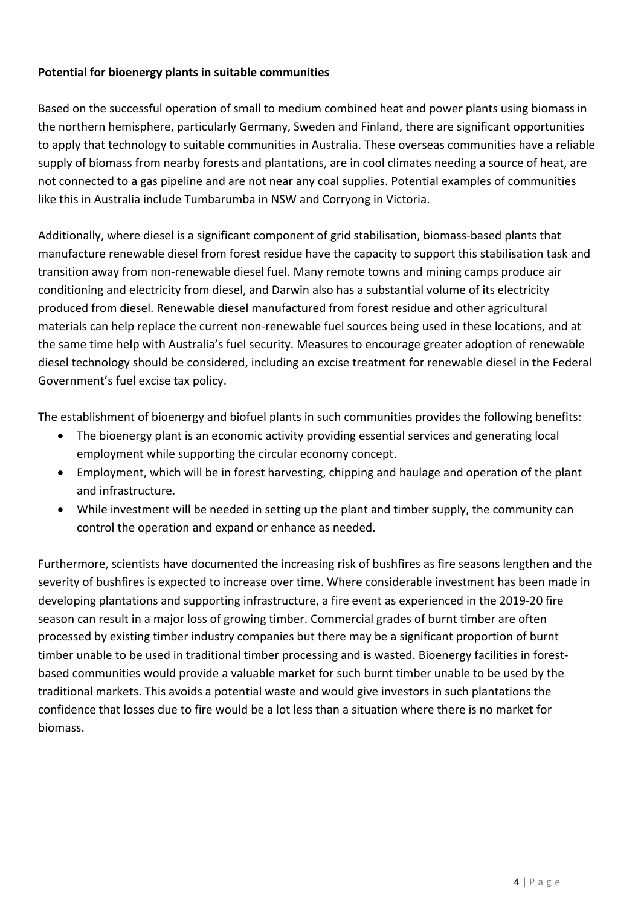# **Potential for bioenergy plants in suitable communities**

Based on the successful operation of small to medium combined heat and power plants using biomass in the northern hemisphere, particularly Germany, Sweden and Finland, there are significant opportunities to apply that technology to suitable communities in Australia. These overseas communities have a reliable supply of biomass from nearby forests and plantations, are in cool climates needing a source of heat, are not connected to a gas pipeline and are not near any coal supplies. Potential examples of communities like this in Australia include Tumbarumba in NSW and Corryong in Victoria.

Additionally, where diesel is a significant component of grid stabilisation, biomass-based plants that manufacture renewable diesel from forest residue have the capacity to support this stabilisation task and transition away from non-renewable diesel fuel. Many remote towns and mining camps produce air conditioning and electricity from diesel, and Darwin also has a substantial volume of its electricity produced from diesel. Renewable diesel manufactured from forest residue and other agricultural materials can help replace the current non-renewable fuel sources being used in these locations, and at the same time help with Australia's fuel security. Measures to encourage greater adoption of renewable diesel technology should be considered, including an excise treatment for renewable diesel in the Federal Government's fuel excise tax policy.

The establishment of bioenergy and biofuel plants in such communities provides the following benefits:

- The bioenergy plant is an economic activity providing essential services and generating local employment while supporting the circular economy concept.
- Employment, which will be in forest harvesting, chipping and haulage and operation of the plant and infrastructure.
- While investment will be needed in setting up the plant and timber supply, the community can control the operation and expand or enhance as needed.

Furthermore, scientists have documented the increasing risk of bushfires as fire seasons lengthen and the severity of bushfires is expected to increase over time. Where considerable investment has been made in developing plantations and supporting infrastructure, a fire event as experienced in the 2019-20 fire season can result in a major loss of growing timber. Commercial grades of burnt timber are often processed by existing timber industry companies but there may be a significant proportion of burnt timber unable to be used in traditional timber processing and is wasted. Bioenergy facilities in forestbased communities would provide a valuable market for such burnt timber unable to be used by the traditional markets. This avoids a potential waste and would give investors in such plantations the confidence that losses due to fire would be a lot less than a situation where there is no market for biomass.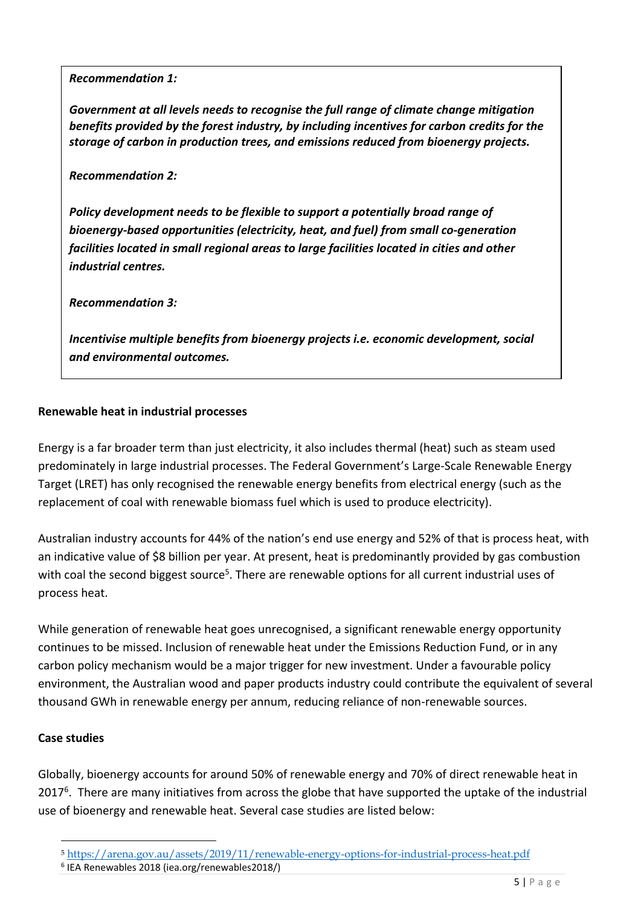#### *Recommendation 1:*

*Government at all levels needs to recognise the full range of climate change mitigation benefits provided by the forest industry, by including incentives for carbon credits for the storage of carbon in production trees, and emissions reduced from bioenergy projects.*

#### *Recommendation 2:*

*Policy development needs to be flexible to support a potentially broad range of bioenergy-based opportunities (electricity, heat, and fuel) from small co-generation facilities located in small regional areas to large facilities located in cities and other industrial centres.*

*Recommendation 3:*

*Incentivise multiple benefits from bioenergy projects i.e. economic development, social and environmental outcomes.*

#### **Renewable heat in industrial processes**

Energy is a far broader term than just electricity, it also includes thermal (heat) such as steam used predominately in large industrial processes. The Federal Government's Large-Scale Renewable Energy Target (LRET) has only recognised the renewable energy benefits from electrical energy (such as the replacement of coal with renewable biomass fuel which is used to produce electricity).

Australian industry accounts for 44% of the nation's end use energy and 52% of that is process heat, with an indicative value of \$8 billion per year. At present, heat is predominantly provided by gas combustion with coal the second biggest source<sup>5</sup>. There are renewable options for all current industrial uses of process heat.

While generation of renewable heat goes unrecognised, a significant renewable energy opportunity continues to be missed. Inclusion of renewable heat under the Emissions Reduction Fund, or in any carbon policy mechanism would be a major trigger for new investment. Under a favourable policy environment, the Australian wood and paper products industry could contribute the equivalent of several thousand GWh in renewable energy per annum, reducing reliance of non-renewable sources.

## **Case studies**

Globally, bioenergy accounts for around 50% of renewable energy and 70% of direct renewable heat in  $2017<sup>6</sup>$ . There are many initiatives from across the globe that have supported the uptake of the industrial use of bioenergy and renewable heat. Several case studies are listed below:

<sup>5</sup> <https://arena.gov.au/assets/2019/11/renewable-energy-options-for-industrial-process-heat.pdf>

<sup>6</sup> IEA Renewables 2018 (iea.org/renewables2018/)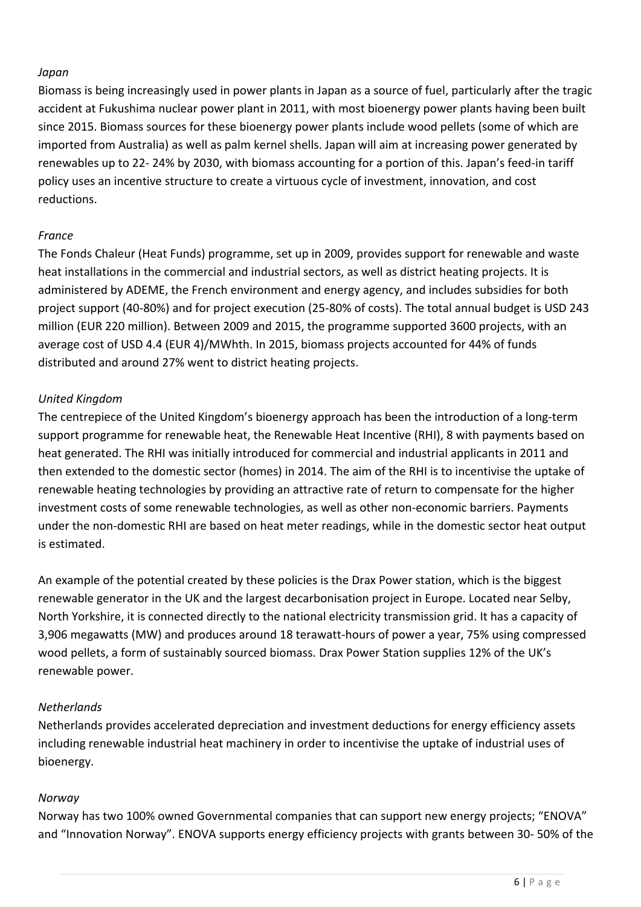# *Japan*

Biomass is being increasingly used in power plants in Japan as a source of fuel, particularly after the tragic accident at Fukushima nuclear power plant in 2011, with most bioenergy power plants having been built since 2015. Biomass sources for these bioenergy power plants include wood pellets (some of which are imported from Australia) as well as palm kernel shells. Japan will aim at increasing power generated by renewables up to 22- 24% by 2030, with biomass accounting for a portion of this. Japan's feed-in tariff policy uses an incentive structure to create a virtuous cycle of investment, innovation, and cost reductions.

# *France*

The Fonds Chaleur (Heat Funds) programme, set up in 2009, provides support for renewable and waste heat installations in the commercial and industrial sectors, as well as district heating projects. It is administered by ADEME, the French environment and energy agency, and includes subsidies for both project support (40-80%) and for project execution (25-80% of costs). The total annual budget is USD 243 million (EUR 220 million). Between 2009 and 2015, the programme supported 3600 projects, with an average cost of USD 4.4 (EUR 4)/MWhth. In 2015, biomass projects accounted for 44% of funds distributed and around 27% went to district heating projects.

# *United Kingdom*

The centrepiece of the United Kingdom's bioenergy approach has been the introduction of a long-term support programme for renewable heat, the Renewable Heat Incentive (RHI), 8 with payments based on heat generated. The RHI was initially introduced for commercial and industrial applicants in 2011 and then extended to the domestic sector (homes) in 2014. The aim of the RHI is to incentivise the uptake of renewable heating technologies by providing an attractive rate of return to compensate for the higher investment costs of some renewable technologies, as well as other non-economic barriers. Payments under the non-domestic RHI are based on heat meter readings, while in the domestic sector heat output is estimated.

An example of the potential created by these policies is the Drax Power station, which is the biggest renewable generator in the UK and the largest decarbonisation project in Europe. Located near Selby, North Yorkshire, it is connected directly to the national electricity transmission grid. It has a capacity of 3,906 megawatts (MW) and produces around 18 terawatt-hours of power a year, 75% using compressed wood pellets, a form of sustainably sourced biomass. Drax Power Station supplies 12% of the UK's renewable power.

# *Netherlands*

Netherlands provides accelerated depreciation and investment deductions for energy efficiency assets including renewable industrial heat machinery in order to incentivise the uptake of industrial uses of bioenergy.

## *Norway*

Norway has two 100% owned Governmental companies that can support new energy projects; "ENOVA" and "Innovation Norway". ENOVA supports energy efficiency projects with grants between 30- 50% of the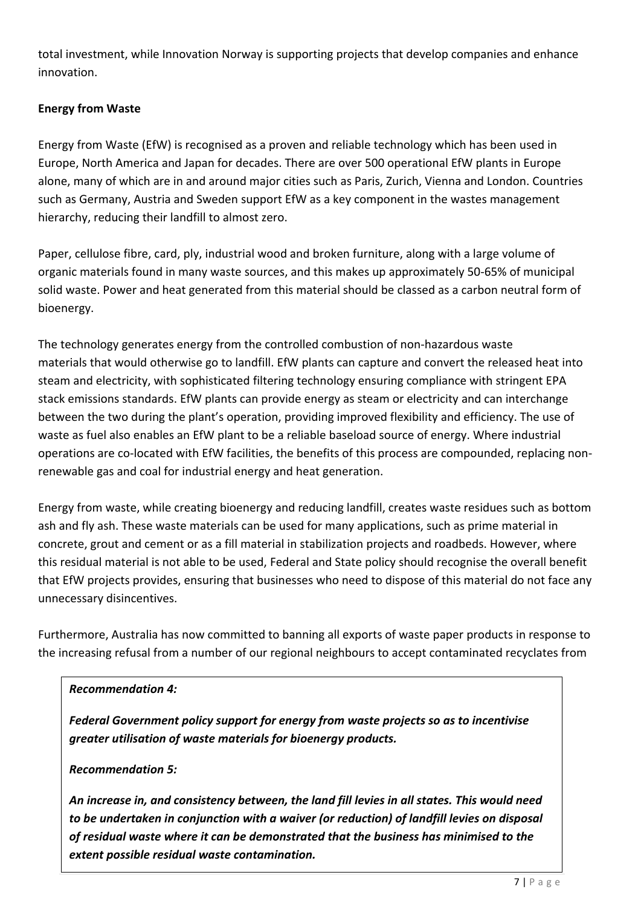total investment, while Innovation Norway is supporting projects that develop companies and enhance innovation.

# **Energy from Waste**

Energy from Waste (EfW) is recognised as a proven and reliable technology which has been used in Europe, North America and Japan for decades. There are over 500 operational EfW plants in Europe alone, many of which are in and around major cities such as Paris, Zurich, Vienna and London. Countries such as Germany, Austria and Sweden support EfW as a key component in the wastes management hierarchy, reducing their landfill to almost zero.

Paper, cellulose fibre, card, ply, industrial wood and broken furniture, along with a large volume of organic materials found in many waste sources, and this makes up approximately 50-65% of municipal solid waste. Power and heat generated from this material should be classed as a carbon neutral form of bioenergy.

The technology generates energy from the controlled combustion of non-hazardous waste materials that would otherwise go to landfill. EfW plants can capture and convert the released heat into steam and electricity, with sophisticated filtering technology ensuring compliance with stringent EPA stack emissions standards. EfW plants can provide energy as steam or electricity and can interchange between the two during the plant's operation, providing improved flexibility and efficiency. The use of waste as fuel also enables an EfW plant to be a reliable baseload source of energy. Where industrial operations are co-located with EfW facilities, the benefits of this process are compounded, replacing nonrenewable gas and coal for industrial energy and heat generation.

Energy from waste, while creating bioenergy and reducing landfill, creates waste residues such as bottom ash and fly ash. These waste materials can be used for many applications, such as prime material in concrete, grout and cement or as a fill material in stabilization projects and roadbeds. However, where this residual material is not able to be used, Federal and State policy should recognise the overall benefit that EfW projects provides, ensuring that businesses who need to dispose of this material do not face any unnecessary disincentives.

Furthermore, Australia has now committed to banning all exports of waste paper products in response to the increasing refusal from a number of our regional neighbours to accept contaminated recyclates from

## *Recommendation 4:*

*Federal Government policy support for energy from waste projects so as to incentivise greater utilisation of waste materials for bioenergy products.*

## *Recommendation 5:*

*An increase in, and consistency between, the land fill levies in all states. This would need to be undertaken in conjunction with a waiver (or reduction) of landfill levies on disposal of residual waste where it can be demonstrated that the business has minimised to the extent possible residual waste contamination.*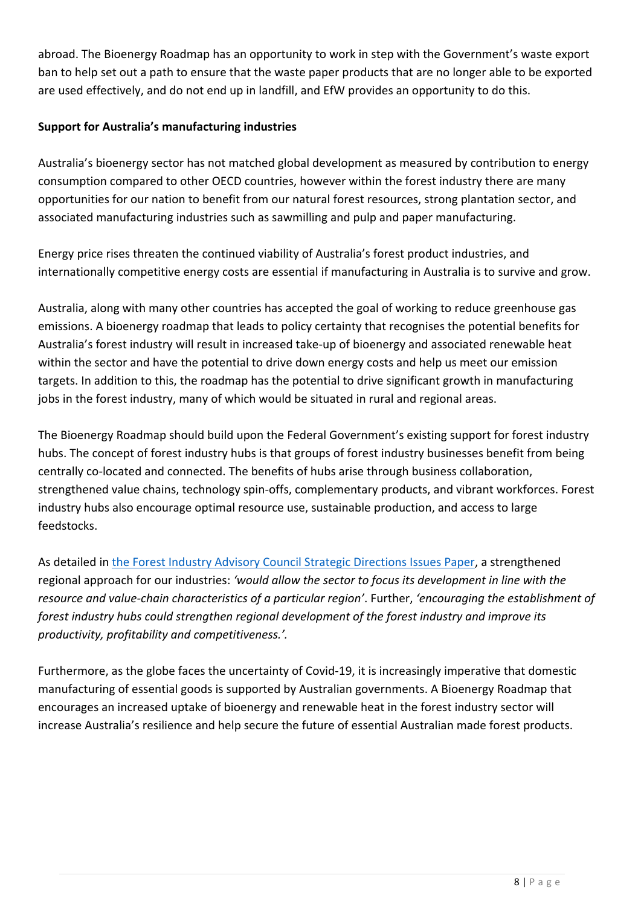abroad. The Bioenergy Roadmap has an opportunity to work in step with the Government's waste export ban to help set out a path to ensure that the waste paper products that are no longer able to be exported are used effectively, and do not end up in landfill, and EfW provides an opportunity to do this.

# **Support for Australia's manufacturing industries**

Australia's bioenergy sector has not matched global development as measured by contribution to energy consumption compared to other OECD countries, however within the forest industry there are many opportunities for our nation to benefit from our natural forest resources, strong plantation sector, and associated manufacturing industries such as sawmilling and pulp and paper manufacturing.

Energy price rises threaten the continued viability of Australia's forest product industries, and internationally competitive energy costs are essential if manufacturing in Australia is to survive and grow.

Australia, along with many other countries has accepted the goal of working to reduce greenhouse gas emissions. A bioenergy roadmap that leads to policy certainty that recognises the potential benefits for Australia's forest industry will result in increased take-up of bioenergy and associated renewable heat within the sector and have the potential to drive down energy costs and help us meet our emission targets. In addition to this, the roadmap has the potential to drive significant growth in manufacturing jobs in the forest industry, many of which would be situated in rural and regional areas.

The Bioenergy Roadmap should build upon the Federal Government's existing support for forest industry hubs. The concept of forest industry hubs is that groups of forest industry businesses benefit from being centrally co-located and connected. The benefits of hubs arise through business collaboration, strengthened value chains, technology spin-offs, complementary products, and vibrant workforces. Forest industry hubs also encourage optimal resource use, sustainable production, and access to large feedstocks.

As detailed in [the Forest Industry Advisory Council Strategic Directions Issues Paper,](http://www.agriculture.gov.au/forestry/industries/fiac) a strengthened regional approach for our industries: *'would allow the sector to focus its development in line with the resource and value-chain characteristics of a particular region'*. Further, *'encouraging the establishment of forest industry hubs could strengthen regional development of the forest industry and improve its productivity, profitability and competitiveness.'.* 

Furthermore, as the globe faces the uncertainty of Covid-19, it is increasingly imperative that domestic manufacturing of essential goods is supported by Australian governments. A Bioenergy Roadmap that encourages an increased uptake of bioenergy and renewable heat in the forest industry sector will increase Australia's resilience and help secure the future of essential Australian made forest products.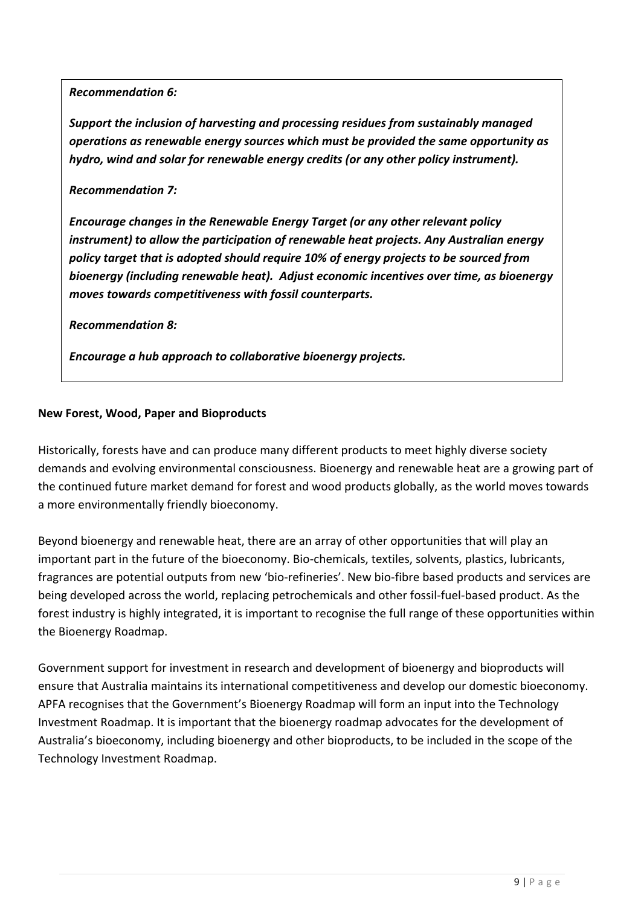*Recommendation 6:*

*Support the inclusion of harvesting and processing residues from sustainably managed operations as renewable energy sources which must be provided the same opportunity as hydro, wind and solar for renewable energy credits (or any other policy instrument).*

## *Recommendation 7:*

*Encourage changes in the Renewable Energy Target (or any other relevant policy instrument) to allow the participation of renewable heat projects. Any Australian energy policy target that is adopted should require 10% of energy projects to be sourced from bioenergy (including renewable heat). Adjust economic incentives over time, as bioenergy moves towards competitiveness with fossil counterparts.* 

*Recommendation 8:*

*Encourage a hub approach to collaborative bioenergy projects.*

## **New Forest, Wood, Paper and Bioproducts**

Historically, forests have and can produce many different products to meet highly diverse society demands and evolving environmental consciousness. Bioenergy and renewable heat are a growing part of the continued future market demand for forest and wood products globally, as the world moves towards a more environmentally friendly bioeconomy.

Beyond bioenergy and renewable heat, there are an array of other opportunities that will play an important part in the future of the bioeconomy. Bio-chemicals, textiles, solvents, plastics, lubricants, fragrances are potential outputs from new 'bio-refineries'. New bio-fibre based products and services are being developed across the world, replacing petrochemicals and other fossil-fuel-based product. As the forest industry is highly integrated, it is important to recognise the full range of these opportunities within the Bioenergy Roadmap.

Government support for investment in research and development of bioenergy and bioproducts will ensure that Australia maintains its international competitiveness and develop our domestic bioeconomy. APFA recognises that the Government's Bioenergy Roadmap will form an input into the Technology Investment Roadmap. It is important that the bioenergy roadmap advocates for the development of Australia's bioeconomy, including bioenergy and other bioproducts, to be included in the scope of the Technology Investment Roadmap.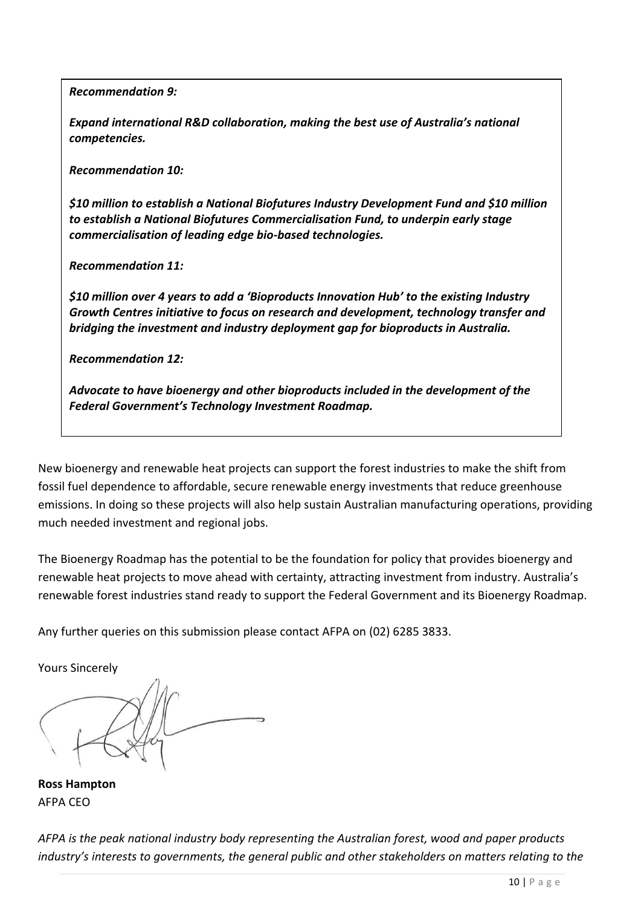*Recommendation 9:*

*Expand international R&D collaboration, making the best use of Australia's national competencies.*

*Recommendation 10:*

*\$10 million to establish a National Biofutures Industry Development Fund and \$10 million to establish a National Biofutures Commercialisation Fund, to underpin early stage commercialisation of leading edge bio-based technologies.*

*Recommendation 11:*

*\$10 million over 4 years to add a 'Bioproducts Innovation Hub' to the existing Industry Growth Centres initiative to focus on research and development, technology transfer and bridging the investment and industry deployment gap for bioproducts in Australia.*

*Recommendation 12:*

*Advocate to have bioenergy and other bioproducts included in the development of the Federal Government's Technology Investment Roadmap.* 

New bioenergy and renewable heat projects can support the forest industries to make the shift from fossil fuel dependence to affordable, secure renewable energy investments that reduce greenhouse emissions. In doing so these projects will also help sustain Australian manufacturing operations, providing much needed investment and regional jobs.

The Bioenergy Roadmap has the potential to be the foundation for policy that provides bioenergy and renewable heat projects to move ahead with certainty, attracting investment from industry. Australia's renewable forest industries stand ready to support the Federal Government and its Bioenergy Roadmap.

Any further queries on this submission please contact AFPA on (02) 6285 3833.

Yours Sincerely

**Ross Hampton** AFPA CEO

*AFPA is the peak national industry body representing the Australian forest, wood and paper products industry's interests to governments, the general public and other stakeholders on matters relating to the*